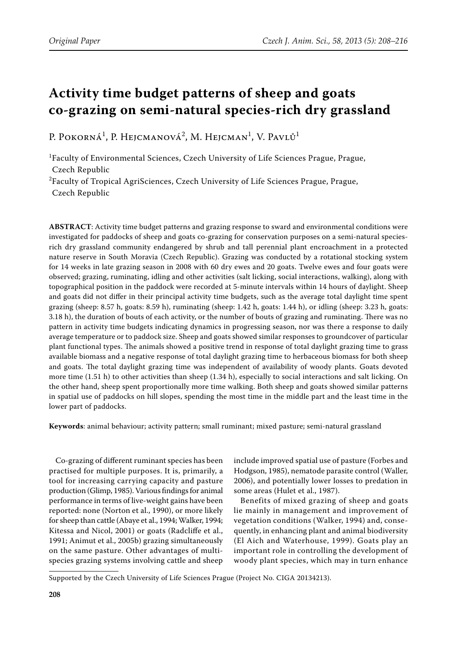# **Activity time budget patterns of sheep and goats co-grazing on semi-natural species-rich dry grassland**

P. Pokorná<sup>1</sup>, P. Hejcmanová<sup>2</sup>, M. Hejcman<sup>1</sup>, V. Pavlů<sup>1</sup>

1 Faculty of Environmental Sciences, Czech University of Life Sciences Prague, Prague, Czech Republic

<sup>2</sup>Faculty of Tropical AgriSciences, Czech University of Life Sciences Prague, Prague, Czech Republic

**ABSTRACT**: Activity time budget patterns and grazing response to sward and environmental conditions were investigated for paddocks of sheep and goats co-grazing for conservation purposes on a semi-natural speciesrich dry grassland community endangered by shrub and tall perennial plant encroachment in a protected nature reserve in South Moravia (Czech Republic). Grazing was conducted by a rotational stocking system for 14 weeks in late grazing season in 2008 with 60 dry ewes and 20 goats. Twelve ewes and four goats were observed; grazing, ruminating, idling and other activities (salt licking, social interactions, walking), along with topographical position in the paddock were recorded at 5-minute intervals within 14 hours of daylight. Sheep and goats did not differ in their principal activity time budgets, such as the average total daylight time spent grazing (sheep: 8.57 h, goats: 8.59 h), ruminating (sheep: 1.42 h, goats: 1.44 h), or idling (sheep: 3.23 h, goats: 3.18 h), the duration of bouts of each activity, or the number of bouts of grazing and ruminating. There was no pattern in activity time budgets indicating dynamics in progressing season, nor was there a response to daily average temperature or to paddock size. Sheep and goats showed similar responses to groundcover of particular plant functional types. The animals showed a positive trend in response of total daylight grazing time to grass available biomass and a negative response of total daylight grazing time to herbaceous biomass for both sheep and goats. The total daylight grazing time was independent of availability of woody plants. Goats devoted more time (1.51 h) to other activities than sheep (1.34 h), especially to social interactions and salt licking. On the other hand, sheep spent proportionally more time walking. Both sheep and goats showed similar patterns in spatial use of paddocks on hill slopes, spending the most time in the middle part and the least time in the lower part of paddocks.

**Keywords**: animal behaviour; activity pattern; small ruminant; mixed pasture; semi-natural grassland

Co-grazing of different ruminant species has been practised for multiple purposes. It is, primarily, a tool for increasing carrying capacity and pasture production (Glimp, 1985). Various findings for animal performance in terms of live-weight gains have been reported: none (Norton et al., 1990), or more likely for sheep than cattle (Abaye et al., 1994; Walker, 1994; Kitessa and Nicol, 2001) or goats (Radcliffe et al., 1991; Animut et al., 2005b) grazing simultaneously on the same pasture. Other advantages of multispecies grazing systems involving cattle and sheep

include improved spatial use of pasture (Forbes and Hodgson, 1985), nematode parasite control (Waller, 2006), and potentially lower losses to predation in some areas (Hulet et al., 1987).

Benefits of mixed grazing of sheep and goats lie mainly in management and improvement of vegetation conditions (Walker, 1994) and, consequently, in enhancing plant and animal biodiversity (El Aich and Waterhouse, 1999). Goats play an important role in controlling the development of woody plant species, which may in turn enhance

Supported by the Czech University of Life Sciences Prague (Project No. CIGA 20134213).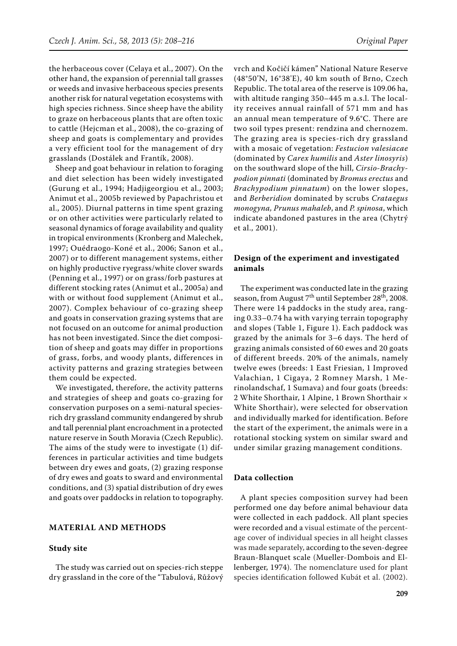the herbaceous cover (Celaya et al., 2007). On the other hand, the expansion of perennial tall grasses or weeds and invasive herbaceous species presents another risk for natural vegetation ecosystems with high species richness. Since sheep have the ability to graze on herbaceous plants that are often toxic to cattle (Hejcman et al., 2008), the co-grazing of sheep and goats is complementary and provides a very efficient tool for the management of dry grasslands (Dostálek and Frantík, 2008).

Sheep and goat behaviour in relation to foraging and diet selection has been widely investigated (Gurung et al., 1994; Hadjigeorgiou et al., 2003; Animut et al., 2005b reviewed by Papachristou et al., 2005). Diurnal patterns in time spent grazing or on other activities were particularly related to seasonal dynamics of forage availability and quality in tropical environments (Kronberg and Malechek, 1997; Ouédraogo-Koné et al., 2006; Sanon et al., 2007) or to different management systems, either on highly productive ryegrass/white clover swards (Penning et al., 1997) or on grass/forb pastures at different stocking rates (Animut et al., 2005a) and with or without food supplement (Animut et al., 2007). Complex behaviour of co-grazing sheep and goats in conservation grazing systems that are not focused on an outcome for animal production has not been investigated. Since the diet composition of sheep and goats may differ in proportions of grass, forbs, and woody plants, differences in activity patterns and grazing strategies between them could be expected.

We investigated, therefore, the activity patterns and strategies of sheep and goats co-grazing for conservation purposes on a semi-natural speciesrich dry grassland community endangered by shrub and tall perennial plant encroachment in a protected nature reserve in South Moravia (Czech Republic). The aims of the study were to investigate (1) differences in particular activities and time budgets between dry ewes and goats, (2) grazing response of dry ewes and goats to sward and environmental conditions, and (3) spatial distribution of dry ewes and goats over paddocks in relation to topography.

# **MATERIAL AND METHODS**

### **Study site**

The study was carried out on species-rich steppe dry grassland in the core of the "Tabulová, Růžový vrch and Kočičí kámen" National Nature Reserve (48°50'N, 16°38'E), 40 km south of Brno, Czech Republic. The total area of the reserve is 109.06 ha, with altitude ranging 350–445 m a.s.l. The locality receives annual rainfall of 571 mm and has an annual mean temperature of 9.6°C. There are two soil types present: rendzina and chernozem. The grazing area is species-rich dry grassland with a mosaic of vegetation: *Festucion valesiacae*  (dominated by *Carex humilis* and *Aster linosyris*) on the southward slope of the hill, *Cirsio-Brachypodion pinnati* (dominated by *Bromus erectus* and *Brachypodium pinnatum*) on the lower slopes, and *Berberidion* dominated by scrubs *Crataegus monogyna, Prunus mahaleb*, and *P. spinosa*, which indicate abandoned pastures in the area (Chytrý et al., 2001).

# **Design of the experiment and investigated animals**

The experiment was conducted late in the grazing season, from August 7<sup>th</sup> until September 28<sup>th</sup>, 2008. There were 14 paddocks in the study area, ranging 0.33–0.74 ha with varying terrain topography and slopes (Table 1, Figure 1). Each paddock was grazed by the animals for 3–6 days. The herd of grazing animals consisted of 60 ewes and 20 goats of different breeds. 20% of the animals, namely twelve ewes (breeds: 1 East Friesian, 1 Improved Valachian, 1 Cigaya, 2 Romney Marsh, 1 Merinolandschaf, 1 Sumava) and four goats (breeds: 2 White Shorthair, 1 Alpine, 1 Brown Shorthair × White Shorthair), were selected for observation and individually marked for identification. Before the start of the experiment, the animals were in a rotational stocking system on similar sward and under similar grazing management conditions.

#### **Data collection**

A plant species composition survey had been performed one day before animal behaviour data were collected in each paddock. All plant species were recorded and a visual estimate of the percentage cover of individual species in all height classes was made separately, according to the seven-degree Braun-Blanquet scale (Mueller-Dombois and Ellenberger, 1974). The nomenclature used for plant species identification followed Kubát et al. (2002).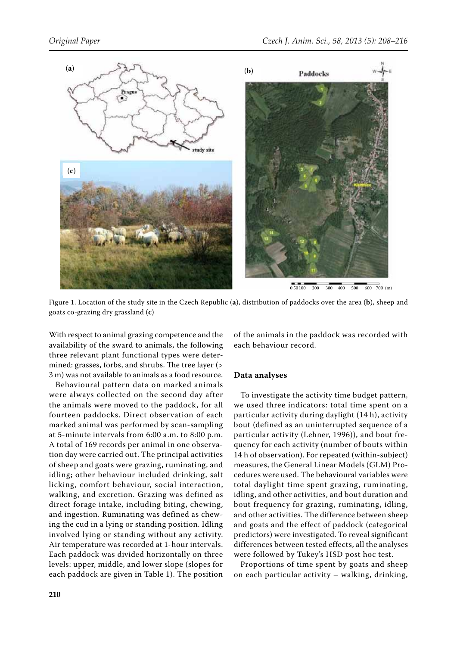

Figure 1. Location of the study site in the Czech Republic (**a**), distribution of paddocks over the area (**b**), sheep and goats co-grazing dry grassland (**c**)

With respect to animal grazing competence and the availability of the sward to animals, the following three relevant plant functional types were determined: grasses, forbs, and shrubs. The tree layer (> 3 m) was not available to animals as a food resource.

Behavioural pattern data on marked animals were always collected on the second day after the animals were moved to the paddock, for all fourteen paddocks. Direct observation of each marked animal was performed by scan-sampling at 5-minute intervals from 6:00 a.m. to 8:00 p.m. A total of 169 records per animal in one observation day were carried out. The principal activities of sheep and goats were grazing, ruminating, and idling; other behaviour included drinking, salt licking, comfort behaviour, social interaction, walking, and excretion. Grazing was defined as direct forage intake, including biting, chewing, and ingestion. Ruminating was defined as chewing the cud in a lying or standing position. Idling involved lying or standing without any activity. Air temperature was recorded at 1-hour intervals. Each paddock was divided horizontally on three levels: upper, middle, and lower slope (slopes for each paddock are given in Table 1). The position of the animals in the paddock was recorded with each behaviour record.

# **Data analyses**

To investigate the activity time budget pattern, we used three indicators: total time spent on a particular activity during daylight (14 h), activity bout (defined as an uninterrupted sequence of a particular activity (Lehner, 1996)), and bout frequency for each activity (number of bouts within 14 h of observation). For repeated (within-subject) measures, the General Linear Models (GLM) Procedures were used. The behavioural variables were total daylight time spent grazing, ruminating, idling, and other activities, and bout duration and bout frequency for grazing, ruminating, idling, and other activities. The difference between sheep and goats and the effect of paddock (categorical predictors) were investigated. To reveal significant differences between tested effects, all the analyses were followed by Tukey's HSD post hoc test.

Proportions of time spent by goats and sheep on each particular activity – walking, drinking,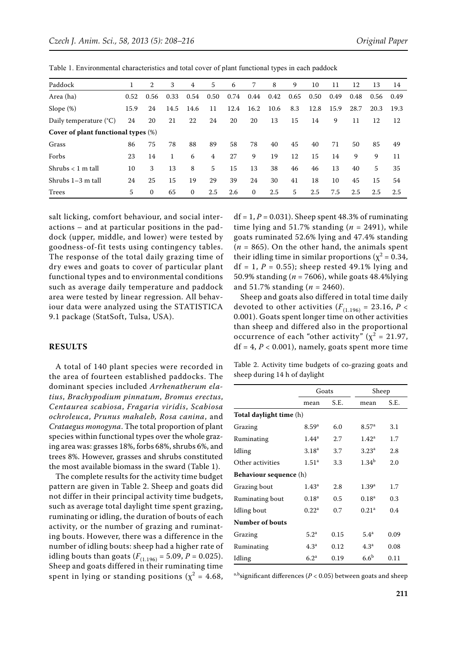| Paddock                             | T    | 2        | 3    | 4            | 5    | 6    | 7        | 8    | 9    | 10   | 11   | 12   | 13   | 14   |
|-------------------------------------|------|----------|------|--------------|------|------|----------|------|------|------|------|------|------|------|
| Area (ha)                           | 0.52 | 0.56     | 0.33 | 0.54         | 0.50 | 0.74 | 0.44     | 0.42 | 0.65 | 0.50 | 0.49 | 0.48 | 0.56 | 0.49 |
| Slope $(\%)$                        | 15.9 | 24       | 14.5 | 14.6         | 11   | 12.4 | 16.2     | 10.6 | 8.3  | 12.8 | 15.9 | 28.7 | 20.3 | 19.3 |
| Daily temperature $(^{\circ}C)$     | 24   | 20       | 21   | 22           | 24   | 20   | 20       | 13   | 15   | 14   | 9    | 11   | 12   | 12   |
| Cover of plant functional types (%) |      |          |      |              |      |      |          |      |      |      |      |      |      |      |
| Grass                               | 86   | 75       | 78   | 88           | 89   | 58   | 78       | 40   | 45   | 40   | 71   | 50   | 85   | 49   |
| Forbs                               | 23   | 14       | 1    | 6            | 4    | 27   | 9        | 19   | 12   | 15   | 14   | 9    | 9    | 11   |
| Shrubs $< 1$ m tall                 | 10   | 3        | 13   | 8            | 5    | 15   | 13       | 38   | 46   | 46   | 13   | 40   | 5    | 35   |
| Shrubs 1-3 m tall                   | 24   | 25       | 15   | 19           | 29   | 39   | 24       | 30   | 41   | 18   | 10   | 45   | 15   | 54   |
| Trees                               | 5    | $\Omega$ | 65   | $\mathbf{0}$ | 2.5  | 2.6  | $\Omega$ | 2.5  | 5    | 2.5  | 7.5  | 2.5  | 2.5  | 2.5  |

Table 1. Environmental characteristics and total cover of plant functional types in each paddock

salt licking, comfort behaviour, and social interactions – and at particular positions in the paddock (upper, middle, and lower) were tested by goodness-of-fit tests using contingency tables. The response of the total daily grazing time of dry ewes and goats to cover of particular plant functional types and to environmental conditions such as average daily temperature and paddock area were tested by linear regression. All behaviour data were analyzed using the STATISTICA 9.1 package (StatSoft, Tulsa, USA).

## **RESULTS**

A total of 140 plant species were recorded in the area of fourteen established paddocks. The dominant species included *Arrhenatherum elatius*, *Brachypodium pinnatum*, *Bromus erectus*, *Centaurea scabiosa*, *Fragaria viridis*, *Scabiosa ochroleuca*, *Prunus mahaleb, Rosa canina*, and *Crataegus monogyna*. The total proportion of plant species within functional types over the whole grazing area was: grasses 18%, forbs 68%, shrubs 6%, and trees 8%. However, grasses and shrubs constituted the most available biomass in the sward (Table 1).

The complete results for the activity time budget pattern are given in Table 2. Sheep and goats did not differ in their principal activity time budgets, such as average total daylight time spent grazing, ruminating or idling, the duration of bouts of each activity, or the number of grazing and ruminating bouts. However, there was a difference in the number of idling bouts: sheep had a higher rate of idling bouts than goats  $(F_{(1.196)} = 5.09, P = 0.025)$ . Sheep and goats differed in their ruminating time spent in lying or standing positions ( $\chi^2 = 4.68$ ,

 $df = 1, P = 0.031$ . Sheep spent 48.3% of ruminating time lying and 51.7% standing  $(n = 2491)$ , while goats ruminated 52.6% lying and 47.4% standing  $(n = 865)$ . On the other hand, the animals spent their idling time in similar proportions ( $\chi^2$  = 0.34,  $df = 1, P = 0.55$ ; sheep rested 49.1% lying and 50.9% standing (*n* = 7606), while goats 48.4%lying and 51.7% standing (*n* = 2460).

Sheep and goats also differed in total time daily devoted to other activities  $(F_{(1.196)} = 23.16, P <$ 0.001). Goats spent longer time on other activities than sheep and differed also in the proportional occurrence of each "other activity" ( $\chi^2$  = 21.97,  $df = 4, P < 0.001$ ), namely, goats spent more time

Table 2. Activity time budgets of co-grazing goats and sheep during 14 h of daylight

|                               | Goats             |      | Sheep             |      |  |  |
|-------------------------------|-------------------|------|-------------------|------|--|--|
|                               | mean              | S.E. | mean              | S.E. |  |  |
| Total daylight time (h)       |                   |      |                   |      |  |  |
| Grazing                       | 8.59 <sup>a</sup> | 6.0  | 8.57 <sup>a</sup> | 3.1  |  |  |
| Ruminating                    | $1.44^a$          | 2.7  | $1.42^a$          | 1.7  |  |  |
| Idling                        | 3.18 <sup>a</sup> | 3.7  | $3.23^{\rm a}$    | 2.8  |  |  |
| Other activities              | 1.51 <sup>a</sup> | 3.3  | 1.34 <sup>b</sup> | 2.0  |  |  |
| <b>Behaviour sequence</b> (h) |                   |      |                   |      |  |  |
| Grazing bout                  | $1.43^a$          | 2.8  | 1.39 <sup>a</sup> | 1.7  |  |  |
| Ruminating bout               | $0.18^{a}$        | 0.5  | $0.18^{a}$        | 0.3  |  |  |
| Idling bout                   | $0.22^{\rm a}$    | 0.7  | 0.21 <sup>a</sup> | 0.4  |  |  |
| Number of bouts               |                   |      |                   |      |  |  |
| Grazing                       | 5.2 <sup>a</sup>  | 0.15 | 5.4 <sup>a</sup>  | 0.09 |  |  |
| Ruminating                    | 4.3 <sup>a</sup>  | 0.12 | 4.3 <sup>a</sup>  | 0.08 |  |  |
| Idling                        | 6.2 <sup>a</sup>  | 0.19 | 6.6 <sup>b</sup>  | 0.11 |  |  |

a,b<sub>si</sub>gnificant differences ( $P < 0.05$ ) between goats and sheep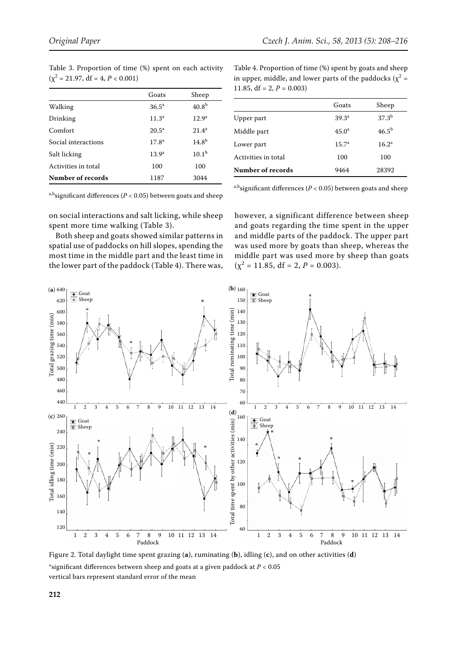| $(y^2 = 21.97, df = 4, P < 0.001)$ |                   |                   |  |  |  |
|------------------------------------|-------------------|-------------------|--|--|--|
|                                    | Goats             | Sheep             |  |  |  |
| Walking                            | $36.5^{\circ}$    | 40.8 <sup>b</sup> |  |  |  |
| Drinking                           | 11.3 <sup>a</sup> | 12.9 <sup>a</sup> |  |  |  |
| Comfort                            | $20.5^{\circ}$    | $21.4^a$          |  |  |  |
| Social interactions                | 17.8 <sup>a</sup> | 14.8 <sup>b</sup> |  |  |  |
| Salt licking                       | 13.9 <sup>a</sup> | $10.1^{\rm b}$    |  |  |  |
| Activities in total                | 100               | 100               |  |  |  |
| Number of records                  | 1187              | 3044              |  |  |  |

Table 3. Proportion of time (%) spent on each activity  $\binom{2}{3}$  and  $\binom{3}{4}$  and  $\binom{3}{4}$  and  $\binom{3}{4}$  $(2)$ 

a,b<sub>si</sub>gnificant differences ( $P < 0.05$ ) between goats and sheep

on social interactions and salt licking, while sheep spent more time walking (Table 3).

Both sheep and goats showed similar patterns in spatial use of paddocks on hill slopes, spending the most time in the middle part and the least time in the lower part of the paddock (Table 4). There was,

Table 4. Proportion of time (%) spent by goats and sheep in upper, middle, and lower parts of the paddocks ( $\chi^2$  = 11.85,  $df = 2, P = 0.003$ 

|                     | Goats             | Sheep             |
|---------------------|-------------------|-------------------|
| Upper part          | 39.3 <sup>a</sup> | $37.3^{\rm b}$    |
| Middle part         | $45.0^a$          | 46.5 <sup>b</sup> |
| Lower part          | 15.7 <sup>a</sup> | $16.2^{\rm a}$    |
| Activities in total | 100               | 100               |
| Number of records   | 9464              | 28392             |

a,b<sub>si</sub>gnificant differences ( $P < 0.05$ ) between goats and sheep

however, a significant difference between sheep and goats regarding the time spent in the upper and middle parts of the paddock. The upper part was used more by goats than sheep, whereas the middle part was used more by sheep than goats  $(\chi^2 = 11.85, df = 2, P = 0.003).$ 



Figure 2. Total daylight time spent grazing (**a**), ruminating (**b**), idling (**c**), and on other activities (**d**) \*significant differences between sheep and goats at a given paddock at *P* < 0.05 vertical bars represent standard error of the mean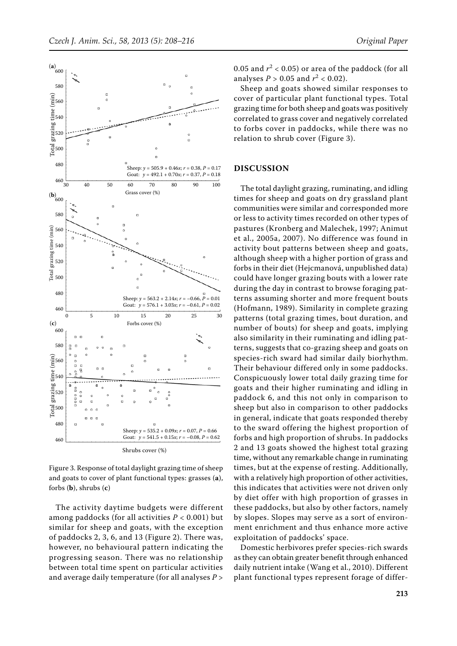

Figure 3. Response of total daylight grazing time of sheep and goats to cover of plant functional types: grasses (**a**), forbs (**b**), shrubs (**c**)

The activity daytime budgets were different among paddocks (for all activities *P* < 0.001) but similar for sheep and goats, with the exception of paddocks 2, 3, 6, and 13 (Figure 2). There was, however, no behavioural pattern indicating the progressing season. There was no relationship between total time spent on particular activities and average daily temperature (for all analyses *P* >

0.05 and  $r^2$  < 0.05) or area of the paddock (for all analyses  $P > 0.05$  and  $r^2 < 0.02$ ).

Sheep and goats showed similar responses to cover of particular plant functional types. Total grazing time for both sheep and goats was positively correlated to grass cover and negatively correlated to forbs cover in paddocks, while there was no relation to shrub cover (Figure 3).

## **DISCUSSION**

The total daylight grazing, ruminating, and idling times for sheep and goats on dry grassland plant communities were similar and corresponded more or less to activity times recorded on other types of pastures (Kronberg and Malechek, 1997; Animut et al., 2005a, 2007). No difference was found in activity bout patterns between sheep and goats, although sheep with a higher portion of grass and forbs in their diet (Hejcmanová, unpublished data) could have longer grazing bouts with a lower rate during the day in contrast to browse foraging patterns assuming shorter and more frequent bouts (Hofmann, 1989). Similarity in complete grazing patterns (total grazing times, bout duration, and number of bouts) for sheep and goats, implying also similarity in their ruminating and idling patterns, suggests that co-grazing sheep and goats on species-rich sward had similar daily biorhythm. Their behaviour differed only in some paddocks. Conspicuously lower total daily grazing time for goats and their higher ruminating and idling in paddock 6, and this not only in comparison to sheep but also in comparison to other paddocks in general, indicate that goats responded thereby to the sward offering the highest proportion of forbs and high proportion of shrubs. In paddocks 2 and 13 goats showed the highest total grazing time, without any remarkable change in ruminating times, but at the expense of resting. Additionally, with a relatively high proportion of other activities, this indicates that activities were not driven only by diet offer with high proportion of grasses in these paddocks, but also by other factors, namely by slopes. Slopes may serve as a sort of environment enrichment and thus enhance more active exploitation of paddocks' space.

Domestic herbivores prefer species-rich swards as they can obtain greater benefit through enhanced daily nutrient intake (Wang et al., 2010). Different plant functional types represent forage of differ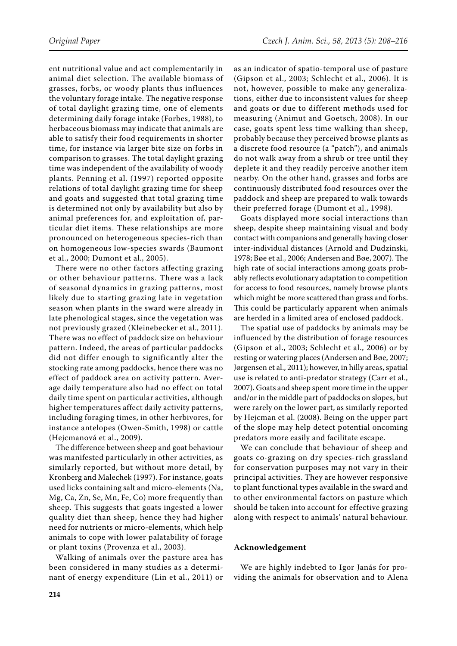ent nutritional value and act complementarily in animal diet selection. The available biomass of grasses, forbs, or woody plants thus influences the voluntary forage intake. The negative response of total daylight grazing time, one of elements determining daily forage intake (Forbes, 1988), to herbaceous biomass may indicate that animals are able to satisfy their food requirements in shorter time, for instance via larger bite size on forbs in comparison to grasses. The total daylight grazing time was independent of the availability of woody plants. Penning et al. (1997) reported opposite relations of total daylight grazing time for sheep and goats and suggested that total grazing time is determined not only by availability but also by animal preferences for, and exploitation of, particular diet items. These relationships are more pronounced on heterogeneous species-rich than on homogeneous low-species swards (Baumont et al., 2000; Dumont et al., 2005).

There were no other factors affecting grazing or other behaviour patterns. There was a lack of seasonal dynamics in grazing patterns, most likely due to starting grazing late in vegetation season when plants in the sward were already in late phenological stages, since the vegetation was not previously grazed (Kleinebecker et al., 2011). There was no effect of paddock size on behaviour pattern. Indeed, the areas of particular paddocks did not differ enough to significantly alter the stocking rate among paddocks, hence there was no effect of paddock area on activity pattern. Average daily temperature also had no effect on total daily time spent on particular activities, although higher temperatures affect daily activity patterns, including foraging times, in other herbivores, for instance antelopes (Owen-Smith, 1998) or cattle (Hejcmanová et al., 2009).

The difference between sheep and goat behaviour was manifested particularly in other activities, as similarly reported, but without more detail, by Kronberg and Malechek (1997). For instance, goats used licks containing salt and micro-elements (Na, Mg, Ca, Zn, Se, Mn, Fe, Co) more frequently than sheep. This suggests that goats ingested a lower quality diet than sheep, hence they had higher need for nutrients or micro-elements, which help animals to cope with lower palatability of forage or plant toxins (Provenza et al., 2003).

Walking of animals over the pasture area has been considered in many studies as a determinant of energy expenditure (Lin et al., 2011) or

as an indicator of spatio-temporal use of pasture (Gipson et al., 2003; Schlecht et al., 2006). It is not, however, possible to make any generalizations, either due to inconsistent values for sheep and goats or due to different methods used for measuring (Animut and Goetsch, 2008). In our case, goats spent less time walking than sheep, probably because they perceived browse plants as a discrete food resource (a "patch"), and animals do not walk away from a shrub or tree until they deplete it and they readily perceive another item nearby. On the other hand, grasses and forbs are continuously distributed food resources over the paddock and sheep are prepared to walk towards their preferred forage (Dumont et al., 1998).

Goats displayed more social interactions than sheep, despite sheep maintaining visual and body contact with companions and generally having closer inter-individual distances (Arnold and Dudzinski, 1978; Bøe et al., 2006; Andersen and Bøe, 2007). The high rate of social interactions among goats probably reflects evolutionary adaptation to competition for access to food resources, namely browse plants which might be more scattered than grass and forbs. This could be particularly apparent when animals are herded in a limited area of enclosed paddock.

The spatial use of paddocks by animals may be influenced by the distribution of forage resources (Gipson et al., 2003; Schlecht et al., 2006) or by resting or watering places (Andersen and Bøe, 2007; Jørgensen et al., 2011); however, in hilly areas, spatial use is related to anti-predator strategy (Carr et al., 2007). Goats and sheep spent more time in the upper and/or in the middle part of paddocks on slopes, but were rarely on the lower part, as similarly reported by Hejcman et al. (2008). Being on the upper part of the slope may help detect potential oncoming predators more easily and facilitate escape.

We can conclude that behaviour of sheep and goats co-grazing on dry species-rich grassland for conservation purposes may not vary in their principal activities. They are however responsive to plant functional types available in the sward and to other environmental factors on pasture which should be taken into account for effective grazing along with respect to animals' natural behaviour.

## **Acknowledgement**

We are highly indebted to Igor Janás for providing the animals for observation and to Alena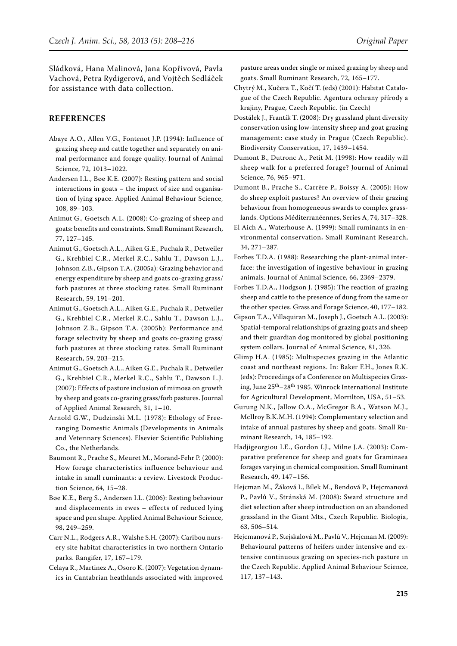Sládková, Hana Malinová, Jana Kopřivová, Pavla Vachová, Petra Rydigerová, and Vojtěch Sedláček for assistance with data collection.

## **REFERENCES**

- Abaye A.O., Allen V.G., Fontenot J.P. (1994): Influence of grazing sheep and cattle together and separately on animal performance and forage quality. Journal of Animal Science, 72, 1013–1022.
- Andersen I.L., Bøe K.E. (2007): Resting pattern and social interactions in goats – the impact of size and organisation of lying space. Applied Animal Behaviour Science, 108, 89–103.
- Animut G., Goetsch A.L. (2008): Co-grazing of sheep and goats: benefits and constraints. Small Ruminant Research, 77, 127–145.
- Animut G., Goetsch A.L., Aiken G.E., Puchala R., Detweiler G., Krehbiel C.R., Merkel R.C., Sahlu T., Dawson L.J., Johnson Z.B., Gipson T.A. (2005a): Grazing behavior and energy expenditure by sheep and goats co-grazing grass/ forb pastures at three stocking rates. Small Ruminant Research, 59, 191–201.
- Animut G., Goetsch A.L., Aiken G.E., Puchala R., Detweiler G., Krehbiel C.R., Merkel R.C., Sahlu T., Dawson L.J., Johnson Z.B., Gipson T.A. (2005b): Performance and forage selectivity by sheep and goats co-grazing grass/ forb pastures at three stocking rates. Small Ruminant Research, 59, 203–215.
- Animut G., Goetsch A.L., Aiken G.E., Puchala R., Detweiler G., Krehbiel C.R., Merkel R.C., Sahlu T., Dawson L.J. (2007): Effects of pasture inclusion of mimosa on growth by sheep and goats co-grazing grass/forb pastures. Journal of Applied Animal Research, 31, 1–10.
- Arnold G.W., Dudzinski M.L. (1978): Ethology of Freeranging Domestic Animals (Developments in Animals and Veterinary Sciences). Elsevier Scientific Publishing Co., the Netherlands.
- Baumont R., Prache S., Meuret M., Morand-Fehr P. (2000): How forage characteristics influence behaviour and intake in small ruminants: a review. Livestock Production Science, 64, 15–28.
- Bøe K.E., Berg S., Andersen I.L. (2006): Resting behaviour and displacements in ewes – effects of reduced lying space and pen shape. Applied Animal Behaviour Science, 98, 249–259.
- Carr N.L., Rodgers A.R., Walshe S.H. (2007): Caribou nursery site habitat characteristics in two northern Ontario parks. Rangifer, 17, 167–179.
- Celaya R., Martinez A., Osoro K. (2007): Vegetation dynamics in Cantabrian heathlands associated with improved

pasture areas under single or mixed grazing by sheep and goats. Small Ruminant Research, 72, 165–177.

- Chytrý M., Kučera T., Kočí T. (eds) (2001): Habitat Catalogue of the Czech Republic. Agentura ochrany přírody a krajiny, Prague, Czech Republic. (in Czech)
- Dostálek J., Frantík T. (2008): Dry grassland plant diversity conservation using low-intensity sheep and goat grazing management: case study in Prague (Czech Republic). Biodiversity Conservation, 17, 1439–1454.
- Dumont B., Dutronc A., Petit M. (1998): How readily will sheep walk for a preferred forage? Journal of Animal Science, 76, 965–971.
- Dumont B., Prache S., Carrère P., Boissy A. (2005): How do sheep exploit pastures? An overview of their grazing behaviour from homogeneous swards to complex grasslands. Options Méditerranéennes, Series A, 74, 317–328.
- El Aich A., Waterhouse A. (1999): Small ruminants in environmental conservation**.** Small Ruminant Research, 34, 271–287.
- Forbes T.D.A. (1988): Researching the plant-animal interface: the investigation of ingestive behaviour in grazing animals. Journal of Animal Science, 66, 2369–2379.
- Forbes T.D.A., Hodgson J. (1985): The reaction of grazing sheep and cattle to the presence of dung from the same or the other species. Grass and Forage Science, 40, 177–182.
- Gipson T.A., Villaquiran M., Joseph J., Goetsch A.L. (2003): Spatial-temporal relationships of grazing goats and sheep and their guardian dog monitored by global positioning system collars. Journal of Animal Science, 81, 326.
- Glimp H.A. (1985): Multispecies grazing in the Atlantic coast and northeast regions. In: Baker F.H., Jones R.K. (eds): Proceedings of a Conference on Multispecies Grazing, June 25th–28th 1985. Winrock International Institute for Agricultural Development, Morrilton, USA, 51–53.
- Gurung N.K., Jallow O.A., McGregor B.A., Watson M.J., McIlroy B.K.M.H. (1994): Complementary selection and intake of annual pastures by sheep and goats. Small Ruminant Research, 14, 185–192.
- Hadjigeorgiou I.E., Gordon I.J., Milne J.A. (2003): Comparative preference for sheep and goats for Graminaea forages varying in chemical composition. Small Ruminant Research, 49, 147–156.
- Hejcman M., Žáková I., Bílek M., Bendová P., Hejcmanová P., Pavlů V., Stránská M. (2008): Sward structure and diet selection after sheep introduction on an abandoned grassland in the Giant Mts., Czech Republic. Biologia, 63, 506–514.
- Hejcmanová P., Stejskalová M., Pavlů V., Hejcman M. (2009): Behavioural patterns of heifers under intensive and extensive continuous grazing on species-rich pasture in the Czech Republic. Applied Animal Behaviour Science, 117, 137–143.